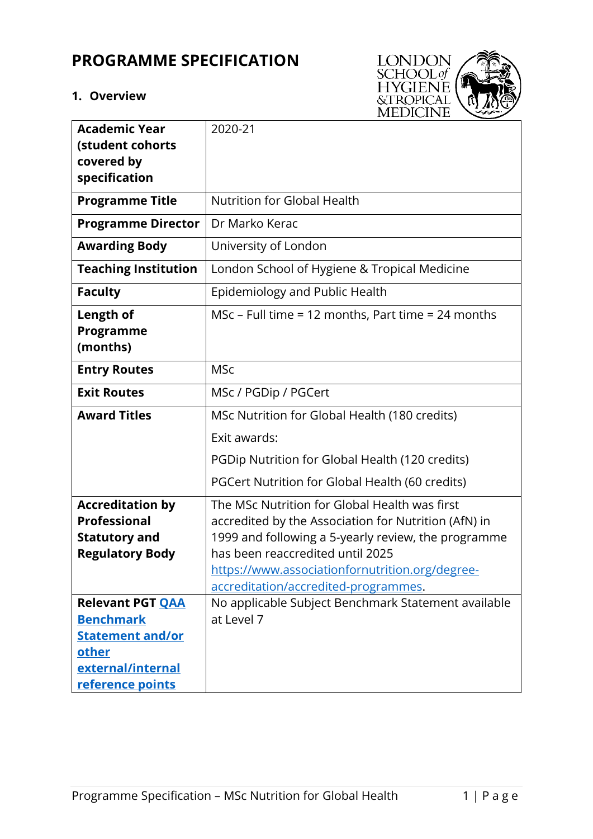# **PROGRAMME SPECIFICATION**

# **1. Overview**



| <b>Academic Year</b>                           | 2020-21                                              |
|------------------------------------------------|------------------------------------------------------|
| (student cohorts                               |                                                      |
| covered by                                     |                                                      |
| specification                                  |                                                      |
| <b>Programme Title</b>                         | <b>Nutrition for Global Health</b>                   |
| <b>Programme Director</b>                      | Dr Marko Kerac                                       |
| <b>Awarding Body</b>                           | University of London                                 |
| <b>Teaching Institution</b>                    | London School of Hygiene & Tropical Medicine         |
| <b>Faculty</b>                                 | Epidemiology and Public Health                       |
| Length of                                      | MSc – Full time = 12 months, Part time = 24 months   |
| <b>Programme</b>                               |                                                      |
| (months)                                       |                                                      |
| <b>Entry Routes</b>                            | <b>MSc</b>                                           |
| <b>Exit Routes</b>                             | MSc / PGDip / PGCert                                 |
| <b>Award Titles</b>                            | MSc Nutrition for Global Health (180 credits)        |
|                                                | Exit awards:                                         |
|                                                | PGDip Nutrition for Global Health (120 credits)      |
|                                                | PGCert Nutrition for Global Health (60 credits)      |
| <b>Accreditation by</b>                        | The MSc Nutrition for Global Health was first        |
| <b>Professional</b>                            | accredited by the Association for Nutrition (AfN) in |
| <b>Statutory and</b>                           | 1999 and following a 5-yearly review, the programme  |
| <b>Regulatory Body</b>                         | has been reaccredited until 2025                     |
|                                                | https://www.associationfornutrition.org/degree-      |
|                                                | accreditation/accredited-programmes.                 |
| <b>Relevant PGT QAA</b>                        | No applicable Subject Benchmark Statement available  |
| <b>Benchmark</b>                               | at Level 7                                           |
| <b>Statement and/or</b>                        |                                                      |
|                                                |                                                      |
|                                                |                                                      |
| other<br>external/internal<br>reference points |                                                      |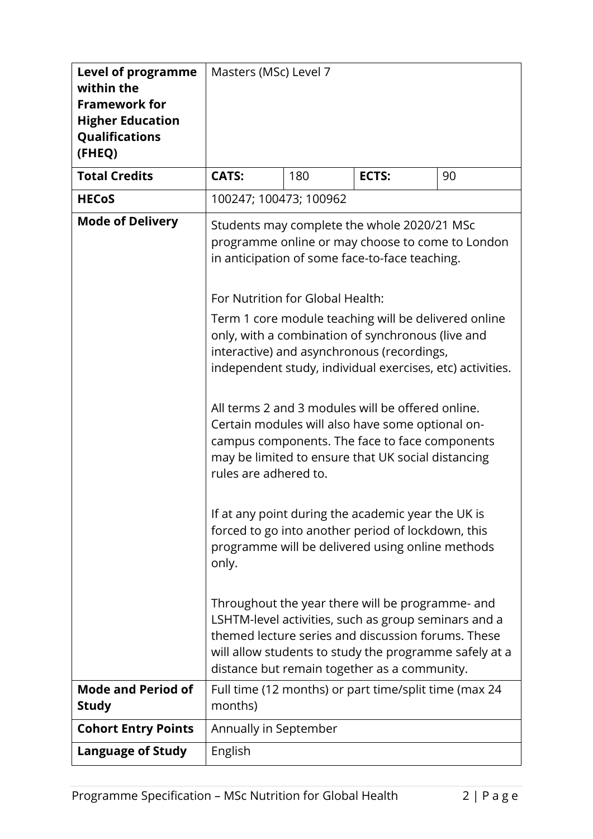| <b>Level of programme</b><br>within the<br><b>Framework for</b><br><b>Higher Education</b><br>Qualifications<br>(FHEQ) | Masters (MSc) Level 7                                                                                                                                                                                                                                                                                                                                                                                                                                                                                                                                                                                                                                                                                                                                                                                                            |     |                                                       |    |  |
|------------------------------------------------------------------------------------------------------------------------|----------------------------------------------------------------------------------------------------------------------------------------------------------------------------------------------------------------------------------------------------------------------------------------------------------------------------------------------------------------------------------------------------------------------------------------------------------------------------------------------------------------------------------------------------------------------------------------------------------------------------------------------------------------------------------------------------------------------------------------------------------------------------------------------------------------------------------|-----|-------------------------------------------------------|----|--|
| <b>Total Credits</b>                                                                                                   | <b>CATS:</b>                                                                                                                                                                                                                                                                                                                                                                                                                                                                                                                                                                                                                                                                                                                                                                                                                     | 180 | ECTS:                                                 | 90 |  |
| <b>HECoS</b>                                                                                                           | 100247; 100473; 100962                                                                                                                                                                                                                                                                                                                                                                                                                                                                                                                                                                                                                                                                                                                                                                                                           |     |                                                       |    |  |
| <b>Mode of Delivery</b>                                                                                                | Students may complete the whole 2020/21 MSc<br>programme online or may choose to come to London<br>in anticipation of some face-to-face teaching.<br>For Nutrition for Global Health:<br>Term 1 core module teaching will be delivered online<br>only, with a combination of synchronous (live and<br>interactive) and asynchronous (recordings,<br>independent study, individual exercises, etc) activities.<br>All terms 2 and 3 modules will be offered online.<br>Certain modules will also have some optional on-<br>campus components. The face to face components<br>may be limited to ensure that UK social distancing<br>rules are adhered to.<br>If at any point during the academic year the UK is<br>forced to go into another period of lockdown, this<br>programme will be delivered using online methods<br>only. |     |                                                       |    |  |
|                                                                                                                        | themed lecture series and discussion forums. These<br>will allow students to study the programme safely at a<br>distance but remain together as a community.                                                                                                                                                                                                                                                                                                                                                                                                                                                                                                                                                                                                                                                                     |     |                                                       |    |  |
| <b>Mode and Period of</b><br><b>Study</b>                                                                              | months)                                                                                                                                                                                                                                                                                                                                                                                                                                                                                                                                                                                                                                                                                                                                                                                                                          |     | Full time (12 months) or part time/split time (max 24 |    |  |
| <b>Cohort Entry Points</b>                                                                                             | Annually in September                                                                                                                                                                                                                                                                                                                                                                                                                                                                                                                                                                                                                                                                                                                                                                                                            |     |                                                       |    |  |
| <b>Language of Study</b>                                                                                               | English                                                                                                                                                                                                                                                                                                                                                                                                                                                                                                                                                                                                                                                                                                                                                                                                                          |     |                                                       |    |  |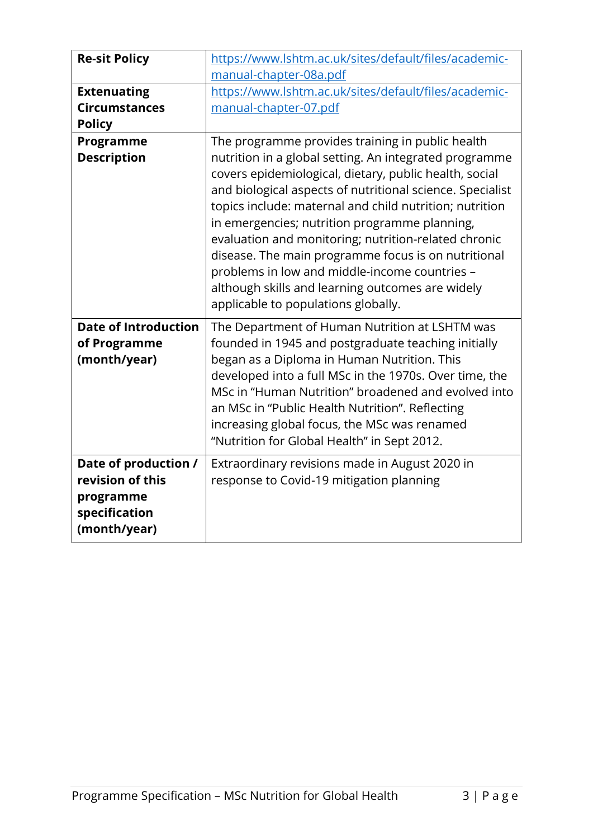| <b>Re-sit Policy</b>                                                                   | https://www.lshtm.ac.uk/sites/default/files/academic-                                                                                                                                                                                                                                                                                                                                                                                                                                                                                                                                                    |
|----------------------------------------------------------------------------------------|----------------------------------------------------------------------------------------------------------------------------------------------------------------------------------------------------------------------------------------------------------------------------------------------------------------------------------------------------------------------------------------------------------------------------------------------------------------------------------------------------------------------------------------------------------------------------------------------------------|
|                                                                                        | manual-chapter-08a.pdf                                                                                                                                                                                                                                                                                                                                                                                                                                                                                                                                                                                   |
| <b>Extenuating</b>                                                                     | https://www.lshtm.ac.uk/sites/default/files/academic-                                                                                                                                                                                                                                                                                                                                                                                                                                                                                                                                                    |
| <b>Circumstances</b>                                                                   | manual-chapter-07.pdf                                                                                                                                                                                                                                                                                                                                                                                                                                                                                                                                                                                    |
| <b>Policy</b>                                                                          |                                                                                                                                                                                                                                                                                                                                                                                                                                                                                                                                                                                                          |
| Programme<br><b>Description</b>                                                        | The programme provides training in public health<br>nutrition in a global setting. An integrated programme<br>covers epidemiological, dietary, public health, social<br>and biological aspects of nutritional science. Specialist<br>topics include: maternal and child nutrition; nutrition<br>in emergencies; nutrition programme planning,<br>evaluation and monitoring; nutrition-related chronic<br>disease. The main programme focus is on nutritional<br>problems in low and middle-income countries -<br>although skills and learning outcomes are widely<br>applicable to populations globally. |
| <b>Date of Introduction</b><br>of Programme<br>(month/year)                            | The Department of Human Nutrition at LSHTM was<br>founded in 1945 and postgraduate teaching initially<br>began as a Diploma in Human Nutrition. This<br>developed into a full MSc in the 1970s. Over time, the<br>MSc in "Human Nutrition" broadened and evolved into<br>an MSc in "Public Health Nutrition". Reflecting<br>increasing global focus, the MSc was renamed<br>"Nutrition for Global Health" in Sept 2012.                                                                                                                                                                                  |
| Date of production /<br>revision of this<br>programme<br>specification<br>(month/year) | Extraordinary revisions made in August 2020 in<br>response to Covid-19 mitigation planning                                                                                                                                                                                                                                                                                                                                                                                                                                                                                                               |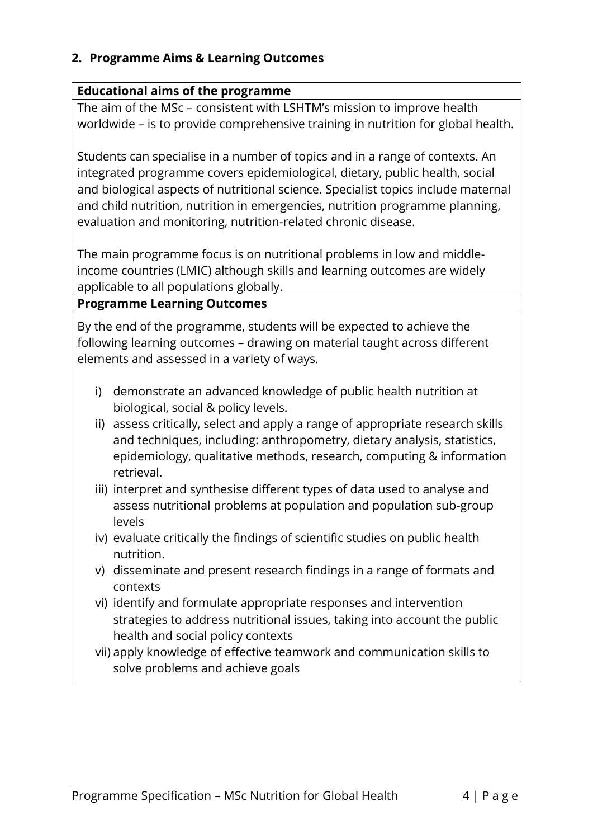#### **2. Programme Aims & Learning Outcomes**

#### **Educational aims of the programme**

The aim of the MSc – consistent with LSHTM's mission to improve health worldwide – is to provide comprehensive training in nutrition for global health.

Students can specialise in a number of topics and in a range of contexts. An integrated programme covers epidemiological, dietary, public health, social and biological aspects of nutritional science. Specialist topics include maternal and child nutrition, nutrition in emergencies, nutrition programme planning, evaluation and monitoring, nutrition-related chronic disease.

The main programme focus is on nutritional problems in low and middleincome countries (LMIC) although skills and learning outcomes are widely applicable to all populations globally.

**Programme Learning Outcomes**

By the end of the programme, students will be expected to achieve the following learning outcomes – drawing on material taught across different elements and assessed in a variety of ways.

- i) demonstrate an advanced knowledge of public health nutrition at biological, social & policy levels.
- ii) assess critically, select and apply a range of appropriate research skills and techniques, including: anthropometry, dietary analysis, statistics, epidemiology, qualitative methods, research, computing & information retrieval.
- iii) interpret and synthesise different types of data used to analyse and assess nutritional problems at population and population sub-group levels
- iv) evaluate critically the findings of scientific studies on public health nutrition.
- v) disseminate and present research findings in a range of formats and contexts
- vi) identify and formulate appropriate responses and intervention strategies to address nutritional issues, taking into account the public health and social policy contexts
- vii) apply knowledge of effective teamwork and communication skills to solve problems and achieve goals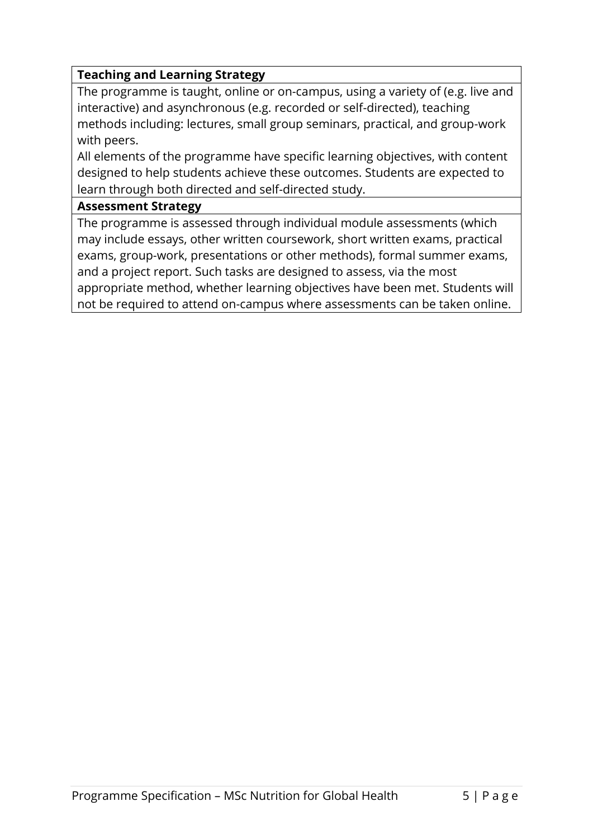## **Teaching and Learning Strategy**

The programme is taught, online or on-campus, using a variety of (e.g. live and interactive) and asynchronous (e.g. recorded or self-directed), teaching methods including: lectures, small group seminars, practical, and group-work with peers.

All elements of the programme have specific learning objectives, with content designed to help students achieve these outcomes. Students are expected to learn through both directed and self-directed study.

#### **Assessment Strategy**

The programme is assessed through individual module assessments (which may include essays, other written coursework, short written exams, practical exams, group-work, presentations or other methods), formal summer exams, and a project report. Such tasks are designed to assess, via the most appropriate method, whether learning objectives have been met. Students will not be required to attend on-campus where assessments can be taken online.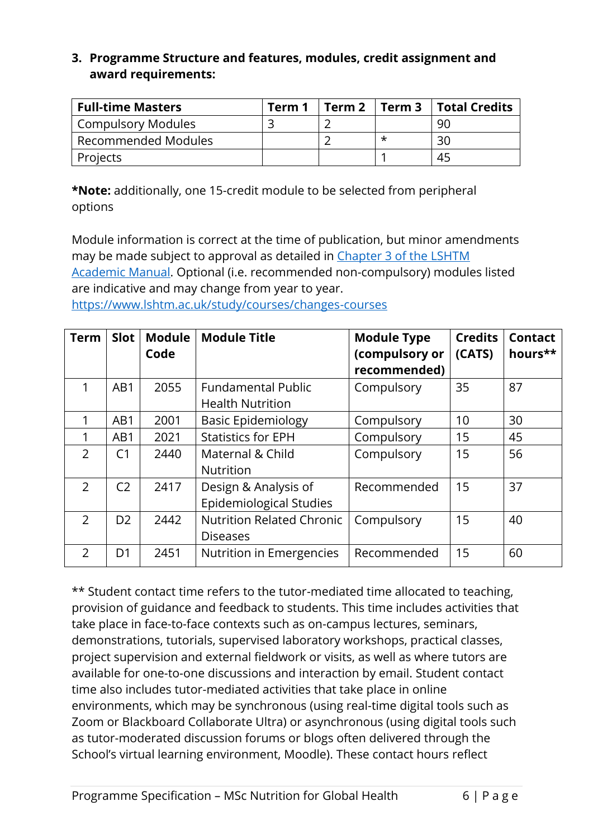## **3. Programme Structure and features, modules, credit assignment and award requirements:**

| <b>Full-time Masters</b>  | Term 1 |  | Term 2   Term 3   Total Credits |
|---------------------------|--------|--|---------------------------------|
| <b>Compulsory Modules</b> |        |  | 90                              |
| Recommended Modules       |        |  | 30                              |
| Projects                  |        |  | 45                              |

**\*Note:** additionally, one 15-credit module to be selected from peripheral options

Module information is correct at the time of publication, but minor amendments may be made subject to approval as detailed in [Chapter 3 of the LSHTM](https://www.lshtm.ac.uk/sites/default/files/academic-manual-chapter-03.pdf)  [Academic Manual.](https://www.lshtm.ac.uk/sites/default/files/academic-manual-chapter-03.pdf) Optional (i.e. recommended non-compulsory) modules listed are indicative and may change from year to year.

<https://www.lshtm.ac.uk/study/courses/changes-courses>

| <b>Term</b>    | <b>Slot</b>    | <b>Module</b><br>Code | <b>Module Title</b>                                    | <b>Module Type</b><br>(compulsory or<br>recommended) | <b>Credits</b><br>(CATS) | <b>Contact</b><br>hours** |
|----------------|----------------|-----------------------|--------------------------------------------------------|------------------------------------------------------|--------------------------|---------------------------|
| 1              | AB1            | 2055                  | <b>Fundamental Public</b><br><b>Health Nutrition</b>   | Compulsory                                           | 35                       | 87                        |
| 1              | AB1            | 2001                  | <b>Basic Epidemiology</b>                              | Compulsory                                           | 10                       | 30                        |
|                | AB1            | 2021                  | <b>Statistics for EPH</b>                              | Compulsory                                           | 15                       | 45                        |
| $\overline{2}$ | C <sub>1</sub> | 2440                  | Maternal & Child<br><b>Nutrition</b>                   | Compulsory                                           | 15                       | 56                        |
| $\mathcal{P}$  | C <sub>2</sub> | 2417                  | Design & Analysis of<br><b>Epidemiological Studies</b> | Recommended                                          | 15                       | 37                        |
| 2              | D <sub>2</sub> | 2442                  | <b>Nutrition Related Chronic</b><br><b>Diseases</b>    | Compulsory                                           | 15                       | 40                        |
| 2              | D <sub>1</sub> | 2451                  | Nutrition in Emergencies                               | Recommended                                          | 15                       | 60                        |

\*\* Student contact time refers to the tutor-mediated time allocated to teaching, provision of guidance and feedback to students. This time includes activities that take place in face-to-face contexts such as on-campus lectures, seminars, demonstrations, tutorials, supervised laboratory workshops, practical classes, project supervision and external fieldwork or visits, as well as where tutors are available for one-to-one discussions and interaction by email. Student contact time also includes tutor-mediated activities that take place in online environments, which may be synchronous (using real-time digital tools such as Zoom or Blackboard Collaborate Ultra) or asynchronous (using digital tools such as tutor-moderated discussion forums or blogs often delivered through the School's virtual learning environment, Moodle). These contact hours reflect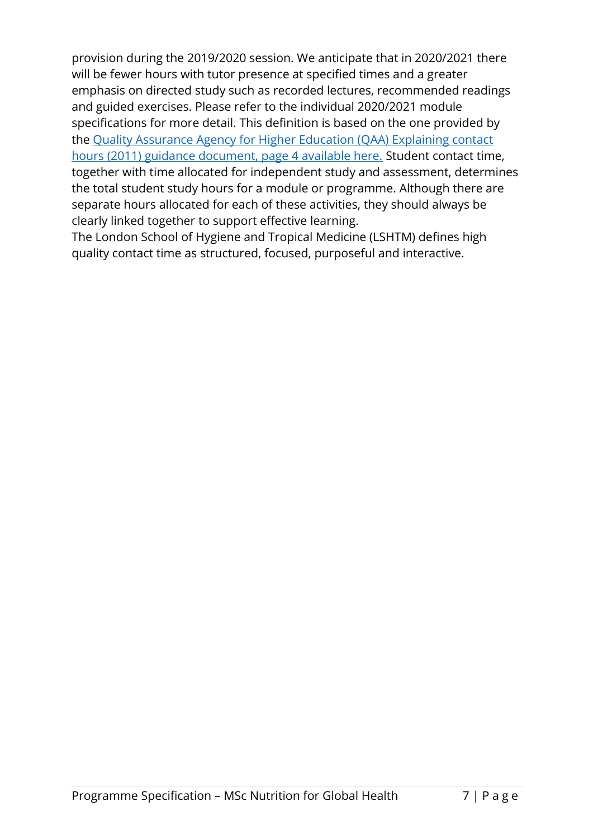provision during the 2019/2020 session. We anticipate that in 2020/2021 there will be fewer hours with tutor presence at specified times and a greater emphasis on directed study such as recorded lectures, recommended readings and guided exercises. Please refer to the individual 2020/2021 module specifications for more detail. This definition is based on the one provided by the [Quality Assurance Agency for Higher Education \(QAA\) Explaining contact](https://www.qaa.ac.uk/docs/qaa/quality-code/contact-hours-guidance.pdf)  [hours \(2011\) guidance document, page 4 available here.](https://www.qaa.ac.uk/docs/qaa/quality-code/contact-hours-guidance.pdf) Student contact time, together with time allocated for independent study and assessment, determines the total student study hours for a module or programme. Although there are separate hours allocated for each of these activities, they should always be clearly linked together to support effective learning.

The London School of Hygiene and Tropical Medicine (LSHTM) defines high quality contact time as structured, focused, purposeful and interactive.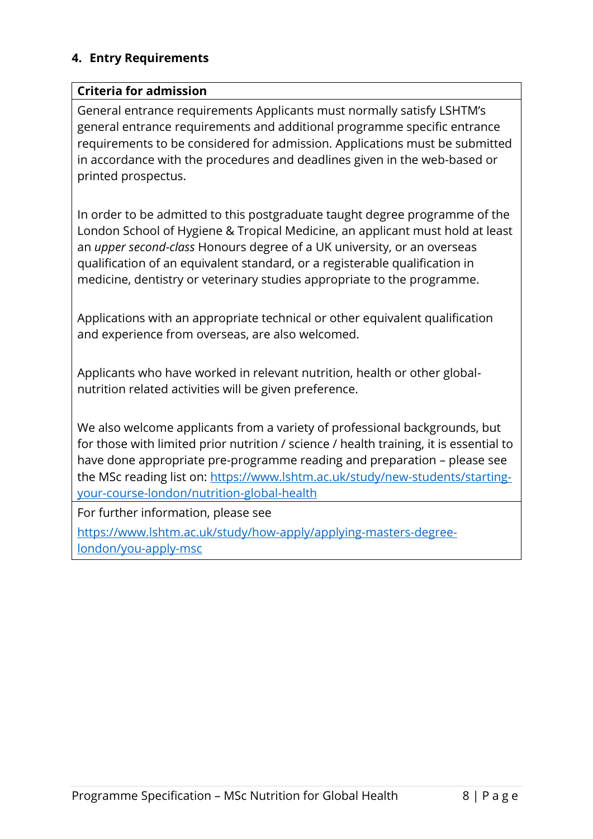#### **4. Entry Requirements**

#### **Criteria for admission**

General entrance requirements Applicants must normally satisfy LSHTM's general entrance requirements and additional programme specific entrance requirements to be considered for admission. Applications must be submitted in accordance with the procedures and deadlines given in the web-based or printed prospectus.

In order to be admitted to this postgraduate taught degree programme of the London School of Hygiene & Tropical Medicine, an applicant must hold at least an *upper second-class* Honours degree of a UK university, or an overseas qualification of an equivalent standard, or a registerable qualification in medicine, dentistry or veterinary studies appropriate to the programme.

Applications with an appropriate technical or other equivalent qualification and experience from overseas, are also welcomed.

Applicants who have worked in relevant nutrition, health or other globalnutrition related activities will be given preference.

We also welcome applicants from a variety of professional backgrounds, but for those with limited prior nutrition / science / health training, it is essential to have done appropriate pre-programme reading and preparation – please see the MSc reading list on: [https://www.lshtm.ac.uk/study/new-students/starting](https://www.lshtm.ac.uk/study/new-students/starting-your-course-london/nutrition-global-health)[your-course-london/nutrition-global-health](https://www.lshtm.ac.uk/study/new-students/starting-your-course-london/nutrition-global-health) 

For further information, please see

[https://www.lshtm.ac.uk/study/how-apply/applying-masters-degree](https://www.lshtm.ac.uk/study/how-apply/applying-masters-degree-london/you-apply-msc)[london/you-apply-msc](https://www.lshtm.ac.uk/study/how-apply/applying-masters-degree-london/you-apply-msc)